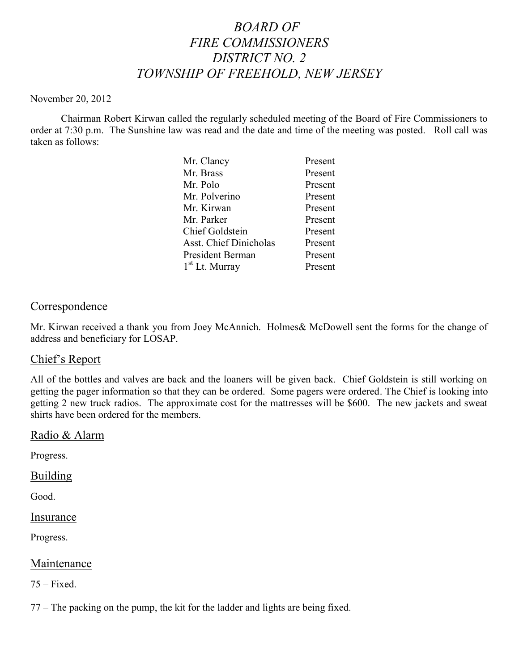# *BOARD OF FIRE COMMISSIONERS DISTRICT NO. 2 TOWNSHIP OF FREEHOLD, NEW JERSEY*

#### November 20, 2012

Chairman Robert Kirwan called the regularly scheduled meeting of the Board of Fire Commissioners to order at 7:30 p.m. The Sunshine law was read and the date and time of the meeting was posted. Roll call was taken as follows:

| Mr. Clancy                    | Present |
|-------------------------------|---------|
| Mr. Brass                     | Present |
| Mr. Polo                      | Present |
| Mr. Polverino                 | Present |
| Mr. Kirwan                    | Present |
| Mr. Parker                    | Present |
| <b>Chief Goldstein</b>        | Present |
| <b>Asst. Chief Dinicholas</b> | Present |
| President Berman              | Present |
| $1st$ Lt. Murray              | Present |

## **Correspondence**

Mr. Kirwan received a thank you from Joey McAnnich. Holmes& McDowell sent the forms for the change of address and beneficiary for LOSAP.

## Chief's Report

All of the bottles and valves are back and the loaners will be given back. Chief Goldstein is still working on getting the pager information so that they can be ordered. Some pagers were ordered. The Chief is looking into getting 2 new truck radios. The approximate cost for the mattresses will be \$600. The new jackets and sweat shirts have been ordered for the members.

#### Radio & Alarm

Progress.

#### Building

Good.

**Insurance** 

Progress.

#### Maintenance

 $75 - Fixed.$ 

77 – The packing on the pump, the kit for the ladder and lights are being fixed.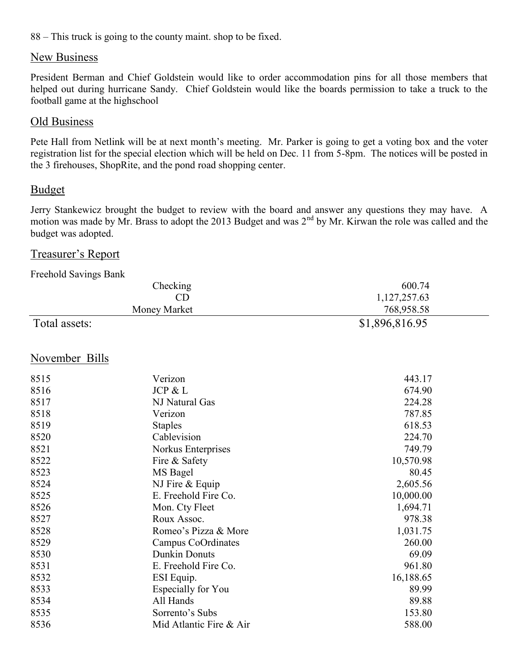88 – This truck is going to the county maint. shop to be fixed.

### New Business

President Berman and Chief Goldstein would like to order accommodation pins for all those members that helped out during hurricane Sandy. Chief Goldstein would like the boards permission to take a truck to the football game at the highschool

#### Old Business

Pete Hall from Netlink will be at next month's meeting. Mr. Parker is going to get a voting box and the voter registration list for the special election which will be held on Dec. 11 from 5-8pm. The notices will be posted in the 3 firehouses, ShopRite, and the pond road shopping center.

#### Budget

Jerry Stankewicz brought the budget to review with the board and answer any questions they may have. A motion was made by Mr. Brass to adopt the 2013 Budget and was  $2<sup>nd</sup>$  by Mr. Kirwan the role was called and the budget was adopted.

## Treasurer's Report

| Freehold Savings Bank |                |
|-----------------------|----------------|
| Checking              | 600.74         |
| CD                    | 1,127,257.63   |
| Money Market          | 768,958.58     |
| Total assets:         | \$1,896,816.95 |

### November Bills

| 8515 | Verizon                 | 443.17    |
|------|-------------------------|-----------|
| 8516 | JCP & L                 | 674.90    |
| 8517 | NJ Natural Gas          | 224.28    |
| 8518 | Verizon                 | 787.85    |
| 8519 | <b>Staples</b>          | 618.53    |
| 8520 | Cablevision             | 224.70    |
| 8521 | Norkus Enterprises      | 749.79    |
| 8522 | Fire & Safety           | 10,570.98 |
| 8523 | MS Bagel                | 80.45     |
| 8524 | NJ Fire $&$ Equip       | 2,605.56  |
| 8525 | E. Freehold Fire Co.    | 10,000.00 |
| 8526 | Mon. Cty Fleet          | 1,694.71  |
| 8527 | Roux Assoc.             | 978.38    |
| 8528 | Romeo's Pizza & More    | 1,031.75  |
| 8529 | Campus CoOrdinates      | 260.00    |
| 8530 | <b>Dunkin Donuts</b>    | 69.09     |
| 8531 | E. Freehold Fire Co.    | 961.80    |
| 8532 | ESI Equip.              | 16,188.65 |
| 8533 | Especially for You      | 89.99     |
| 8534 | All Hands               | 89.88     |
| 8535 | Sorrento's Subs         | 153.80    |
| 8536 | Mid Atlantic Fire & Air | 588.00    |